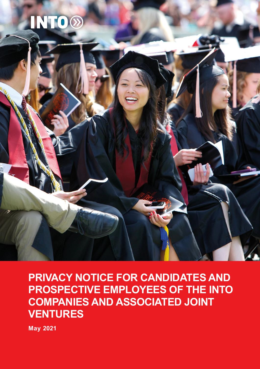# **INTO**<sup>®</sup>



## **PRIVACY NOTICE FOR CANDIDATES AND PROSPECTIVE EMPLOYEES OF THE INTO COMPANIES AND ASSOCIATED JOINT VENTURES**

**May 2021**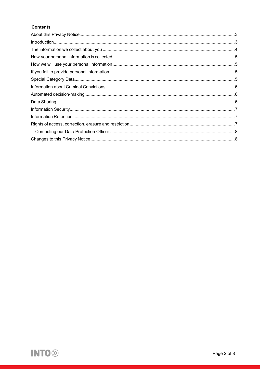#### **Contents**

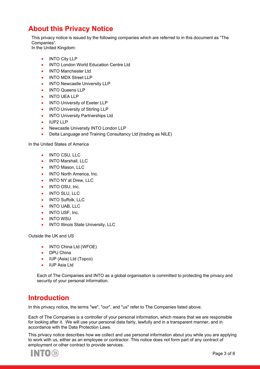## <span id="page-2-0"></span>**About this Privacy Notice**

This privacy notice is issued by the following companies which are referred to in this document as "The Companies".

In the United Kingdom:

- INTO City LLP
- INTO London World Education Centre Ltd
- INTO Manchester Ltd
- INTO MDX Street LLP
- INTO Newcastle University LLP
- INTO Queens LLP
- INTO UEA LLP
- **INTO University of Exeter LLP**
- INTO University of Stirling LLP
- **INTO University Partnerships Ltd**
- IUP2 LLP
- Newcastle University INTO London LLP
- Delta Language and Training Consultancy Ltd (trading as NILE)

In the United States of America

- INTO CSU, LLC
- INTO Marshall, LLC
- INTO Mason, LLC
- INTO North America, Inc.
- INTO NY at Drew, LLC
- INTO OSU, Inc.
- INTO SLU, LLC
- INTO Suffolk, LLC
- INTO UAB, LLC
- INTO USF, Inc.
- INTO WSU
- INTO Illinois State University, LLC

Outside the UK and US

- INTO China Ltd (WFOE)
- DPU China
- IUP (Asia) Ltd (Topco)
- IUP Asia Ltd

Each of The Companies and INTO as a global organisation is committed to protecting the privacy and security of your personal information.

#### <span id="page-2-1"></span>**Introduction**

In this privacy notice, the terms "we", "our", and "us" refer to The Companies listed above.

Each of The Companies is a controller of your personal information, which means that we are responsible for looking after it. We will use your personal data fairly, lawfully and in a transparent manner, and in accordance with the Data Protection Laws.

This privacy notice describes how we collect and use personal information about you while you are applying to work with us, either as an employee or contractor. This notice does not form part of any contract of employment or other contract to provide services.

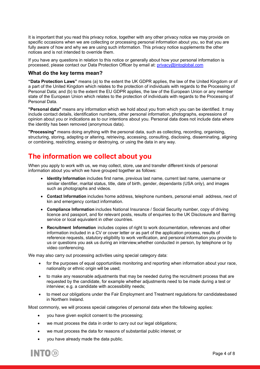It is important that you read this privacy notice, together with any other privacy notice we may provide on specific occasions when we are collecting or processing personal information about you, so that you are fully aware of how and why we are using such information. This privacy notice supplements the other notices and is not intended to override them.

If you have any questions in relation to this notice or generally about how your personal information is processed, please contact our Data Protection Officer by email at: [privacy@intoglobal.com](mailto:privacy@intoglobal.com)

#### **What do the key terms mean?**

**"Data Protection Laws"** means (a) to the extent the UK GDPR applies, the law of the United Kingdom or of a part of the United Kingdom which relates to the protection of individuals with regards to the Processing of Personal Data; and (b) to the extent the EU GDPR applies, the law of the European Union or any member state of the European Union which relates to the protection of individuals with regards to the Processing of Personal Data.

**"Personal data"** means any information which we hold about you from which you can be identified. It may include contact details, identification numbers, other personal information, photographs, expressions of opinion about you or indications as to our intentions about you. Personal data does not include data where the identity has been removed (anonymous data).

**"Processing"** means doing anything with the personal data, such as collecting, recording, organising, structuring, storing, adapting or altering, retrieving, accessing, consulting, disclosing, disseminating, aligning or combining, restricting, erasing or destroying, or using the data in any way.

#### <span id="page-3-0"></span>**The information we collect about you**

When you apply to work with us, we may collect, store, use and transfer different kinds of personal information about you which we have grouped together as follows:

- **Identity Information** includes first name, previous last name, current last name, username or similar identifier, marital status, title, date of birth, gender, dependants (USA only), and images such as photographs and videos.
- **Contact Information** includes home address, telephone numbers, personal email address, next of kin and emergency contact information.
- **Compliance Information** includes National Insurance / Social Security number, copy of driving licence and passport, and for relevant posts, results of enquiries to the UK Disclosure and Barring service or local equivalent in other countries.
- **Recruitment Information** includes copies of right to work documentation, references and other information included in a CV or cover letter or as part of the application process, results of reference requests, statutory eligibility to work verification, and personal information you provide to us or questions you ask us during an interview,whether conducted in person, by telephone or by video conferencing.

We may also carry out processing activities using special category data:

- for the purposes of equal opportunities monitoring and reporting when information about your race, nationality or ethnic origin will be used;
- to make any reasonable adjustments that may be needed during the recruitment process that are requested by the candidate, for example whether adjustments need to be made during a test or interview; e.g. a candidate with accessibility needs;
- to meet our obligations under the Fair Employment and Treatment regulations for candidatesbased in Northern Ireland.

Most commonly, we will process special categories of personal data when the following applies:

- you have given explicit consent to the processing;
- we must process the data in order to carry out our legal obligations;
- we must process the data for reasons of substantial public interest; or
- <span id="page-3-1"></span>• you have already made the data public.

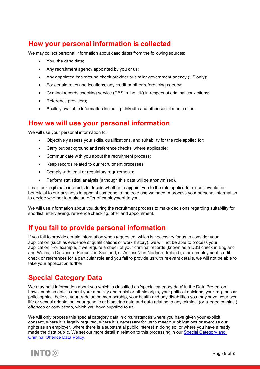## **How your personal information is collected**

We may collect personal information about candidates from the following sources:

- You, the candidate;
- Any recruitment agency appointed by you or us;
- Any appointed background check provider or similar government agency (US only);
- For certain roles and locations, any credit or other referencing agency;
- Criminal records checking service (DBS in the UK) in respect of criminal convictions;
- Reference providers;
- Publicly available information including LinkedIn and other social media sites.

#### <span id="page-4-0"></span>**How we will use your personal information**

We will use your personal information to:

- Objectively assess your skills, qualifications, and suitability for the role applied for;
- Carry out background and reference checks, where applicable;
- Communicate with you about the recruitment process;
- Keep records related to our recruitment processes;
- Comply with legal or regulatory requirements;
- Perform statistical analysis (although this data will be anonymised).

It is in our legitimate interests to decide whether to appoint you to the role applied for since it would be beneficial to our business to appoint someone to that role and we need to process your personal information to decide whether to make an offer of employment to you.

We will use information about you during the recruitment process to make decisions regarding suitability for shortlist, interviewing, reference checking, offer and appointment.

#### <span id="page-4-1"></span>**If you fail to provide personal information**

If you fail to provide certain information when requested, which is necessary for us to consider your application (such as evidence of qualifications or work history), we will not be able to process your application. For example, if we require a check of your criminal records (known as a DBS check in England and Wales; a Disclosure Request in Scotland; or AccessNI in Northern Ireland), a pre-employment credit check or references for a particular role and you fail to provide us with relevant details, we will not be able to take your application further.

## <span id="page-4-2"></span>**Special Category Data**

We may hold information about you which is classified as 'special category data' in the Data Protection Laws, such as details about your ethnicity and racial or ethnic origin, your political opinions, your religious or philosophical beliefs, your trade union membership, your health and any disabilities you may have, your sex life or sexual orientation, your genetic or biometric data and data relating to any criminal (or alleged criminal) offences or convictions, which you have supplied to us.

We will only process this special category data in circumstances where you have given your explicit consent, where it is legally required, where it is necessary for us to meet our obligations or exercise our rights as an employer, where there is a substantial public interest in doing so, or where you have already made the data public. We set out more detail in relation to this processing in our [Special Category and](https://www.intoglobal.com/media/tdibolkj/special-category-criminal-offence-data-policy-v1-0-final-september-2020.pdf)  [Criminal Offence Data Policy.](https://www.intoglobal.com/media/tdibolkj/special-category-criminal-offence-data-policy-v1-0-final-september-2020.pdf)

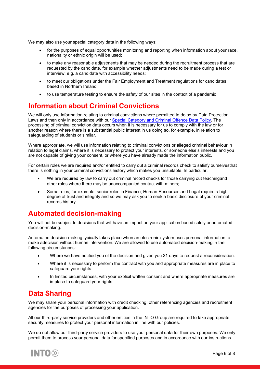We may also use your special category data in the following ways:

- for the purposes of equal opportunities monitoring and reporting when information about your race, nationality or ethnic origin will be used;
- to make any reasonable adjustments that may be needed during the recruitment process that are requested by the candidate, for example whether adjustments need to be made during a test or interview; e.g. a candidate with accessibility needs;
- to meet our obligations under the Fair Employment and Treatment regulations for candidates based in Northern Ireland;
- to use temperature testing to ensure the safety of our sites in the context of a pandemic

### <span id="page-5-0"></span>**Information about Criminal Convictions**

We will only use information relating to criminal convictions where permitted to do so by Data Protection Laws and then only in accordance with our [Special Category and Criminal Offence Data Policy.](https://www.intoglobal.com/media/tdibolkj/special-category-criminal-offence-data-policy-v1-0-final-september-2020.pdf) The processing of criminal conviction data occurs when it is necessary for us to comply with the law or for another reason where there is a substantial public interest in us doing so, for example, in relation to safeguarding of students or similar.

Where appropriate, we will use information relating to criminal convictions or alleged criminal behaviour in relation to legal claims, where it is necessary to protect your interests, or someone else's interests and you are not capable of giving your consent, or where you have already made the information public.

For certain roles we are required and/or entitled to carry out a criminal records check to satisfy ourselvesthat there is nothing in your criminal convictions history which makes you unsuitable. In particular:

- We are required by law to carry out criminal record checks for those carrying out teachingand other roles where there may be unaccompanied contact with minors;
- Some roles, for example, senior roles in Finance, Human Resources and Legal require a high degree of trust and integrity and so we may ask you to seek a basic disclosure of your criminal records history.

#### <span id="page-5-1"></span>**Automated decision-making**

You will not be subject to decisions that will have an impact on your application based solely onautomated decision-making.

Automated decision-making typically takes place when an electronic system uses personal information to make adecision without human intervention. We are allowed to use automated decision-making in the following circumstances:

- Where we have notified you of the decision and given you 21 days to request a reconsideration.
- Where it is necessary to perform the contract with you and appropriate measures are in place to safeguard your rights.
- In limited circumstances, with your explicit written consent and where appropriate measures are in place to safeguard your rights.

#### <span id="page-5-2"></span>**Data Sharing**

We may share your personal information with credit checking, other referencing agencies and recruitment agencies for the purposes of processing your application.

All our third-party service providers and other entities in the INTO Group are required to take appropriate security measures to protect your personal information in line with our policies.

We do not allow our third-party service providers to use your personal data for their own purposes. We only permit them to process your personal data for specified purposes and in accordance with our instructions.

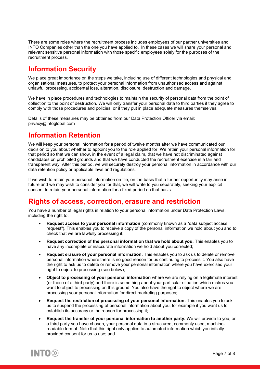There are some roles where the recruitment process includes employees of our partner universities and INTO Companies other than the one you have applied to. In these cases we will share your personal and relevant sensitive personal information with those specific employees solely for the purposes of the recruitment process.

## <span id="page-6-0"></span>**Information Security**

We place great importance on the steps we take, including use of different technologies and physical and organisational measures, to protect your personal information from unauthorised access and against unlawful processing, accidental loss, alteration, disclosure, destruction and damage.

We have in place procedures and technologies to maintain the security of personal data from the point of collection to the point of destruction. We will only transfer your personal data to third parties if they agree to comply with those procedures and policies, or if they put in place adequate measures themselves.

Details of these measures may be obtained from our Data Protection Officer via email: privacy@intoglobal.com

#### <span id="page-6-1"></span>**Information Retention**

We will keep your personal information for a period of twelve months after we have communicated our decision to you about whether to appoint you to the role applied for. We retain your personal information for that period so that we can show, in the event of a legal claim, that we have not discriminated against candidates on prohibited grounds and that we have conducted the recruitment exercise in a fair and transparent way. After this period, we will securely destroy your personal information in accordance with our data retention policy or applicable laws and regulations.

If we wish to retain your personal information on file, on the basis that a further opportunity may arise in future and we may wish to consider you for that, we will write to you separately, seeking your explicit consent to retain your personal information for a fixed period on that basis.

#### <span id="page-6-2"></span>**Rights of access, correction, erasure and restriction**

You have a number of legal rights in relation to your personal information under Data Protection Laws, including the right to:

- **Request access to your personal information** (commonly known as a "data subject access request"). This enables you to receive a copy of the personal information we hold about you and to check that we are lawfully processing it;
- **Request correction of the personal information that we hold about you.** This enables you to have any incomplete or inaccurate information we hold about you corrected;
- **Request erasure of your personal information.** This enables you to ask us to delete or remove personal information where there is no good reason for us continuing to process it. You also have the right to ask us to delete or remove your personal information where you have exercised your right to object to processing (see below);
- **Object to processing of your personal information** where we are relying on a legitimate interest (or those of a third party) and there is something about your particular situation which makes you want to object to processing on this ground. You also have the right to object where we are processing your personal information for direct marketing purposes;
- **Request the restriction of processing of your personal information.** This enables you to ask us to suspend the processing of personal information about you, for example if you want us to establish its accuracy or the reason for processing it;
- **Request the transfer of your personal information to another party.** We will provide to you, or a third party you have chosen, your personal data in a structured, commonly used, machinereadable format. Note that this right only applies to automated information which you initially provided consent for us to use; and